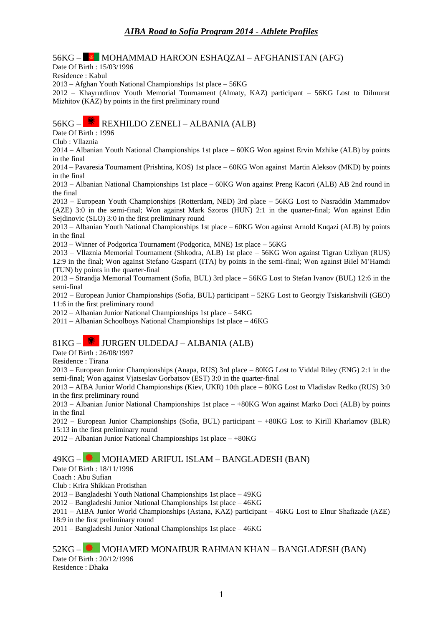#### 56KG – ■ MOHAMMAD HAROON ESHAQZAI – AFGHANISTAN (AFG)

Date Of Birth : 15/03/1996

Residence : Kabul

2013 – Afghan Youth National Championships 1st place – 56KG

2012 – Khayrutdinov Youth Memorial Tournament (Almaty, KAZ) participant – 56KG Lost to Dilmurat Mizhitov (KAZ) by points in the first preliminary round

### $56KG -$  REXHILDO ZENELI – ALBANIA (ALB)

Date Of Birth : 1996

Club : Vllaznia

2014 – Albanian Youth National Championships 1st place – 60KG Won against Ervin Mzhike (ALB) by points in the final

2014 – Pavaresia Tournament (Prishtina, KOS) 1st place – 60KG Won against Martin Aleksov (MKD) by points in the final

2013 – Albanian National Championships 1st place – 60KG Won against Preng Kacori (ALB) AB 2nd round in the final

2013 – European Youth Championships (Rotterdam, NED) 3rd place – 56KG Lost to Nasraddin Mammadov (AZE) 3:0 in the semi-final; Won against Mark Szoros (HUN) 2:1 in the quarter-final; Won against Edin Sejdinovic (SLO) 3:0 in the first preliminary round

2013 – Albanian Youth National Championships 1st place – 60KG Won against Arnold Kuqazi (ALB) by points in the final

2013 – Winner of Podgorica Tournament (Podgorica, MNE) 1st place – 56KG

2013 – Vllaznia Memorial Tournament (Shkodra, ALB) 1st place – 56KG Won against Tigran Uzliyan (RUS) 12:9 in the final; Won against Stefano Gasparri (ITA) by points in the semi-final; Won against Bilel M'Hamdi (TUN) by points in the quarter-final

2013 – Strandja Memorial Tournament (Sofia, BUL) 3rd place – 56KG Lost to Stefan Ivanov (BUL) 12:6 in the semi-final

2012 – European Junior Championships (Sofia, BUL) participant – 52KG Lost to Georgiy Tsiskarishvili (GEO) 11:6 in the first preliminary round

2012 – Albanian Junior National Championships 1st place – 54KG

2011 – Albanian Schoolboys National Championships 1st place – 46KG

### $81KG -$  W JURGEN ULDEDAJ – ALBANIA (ALB)

Date Of Birth : 26/08/1997

Residence : Tirana

2013 – European Junior Championships (Anapa, RUS) 3rd place – 80KG Lost to Viddal Riley (ENG) 2:1 in the semi-final; Won against Vjatseslav Gorbatsov (EST) 3:0 in the quarter-final

2013 – AIBA Junior World Championships (Kiev, UKR) 10th place – 80KG Lost to Vladislav Redko (RUS) 3:0 in the first preliminary round

2013 – Albanian Junior National Championships 1st place – +80KG Won against Marko Doci (ALB) by points in the final

2012 – European Junior Championships (Sofia, BUL) participant – +80KG Lost to Kirill Kharlamov (BLR) 15:13 in the first preliminary round

2012 – Albanian Junior National Championships 1st place – +80KG

#### 49KG – MOHAMED ARIFUL ISLAM – BANGLADESH (BAN)

Date Of Birth : 18/11/1996

Coach : Abu Sufian

Club : Krira Shikkan Protisthan

2013 – Bangladeshi Youth National Championships 1st place – 49KG

2012 – Bangladeshi Junior National Championships 1st place – 46KG

2011 – AIBA Junior World Championships (Astana, KAZ) participant – 46KG Lost to Elnur Shafizade (AZE) 18:9 in the first preliminary round

2011 – Bangladeshi Junior National Championships 1st place – 46KG

#### 52KG – MOHAMED MONAIBUR RAHMAN KHAN – BANGLADESH (BAN)

Date Of Birth : 20/12/1996

Residence : Dhaka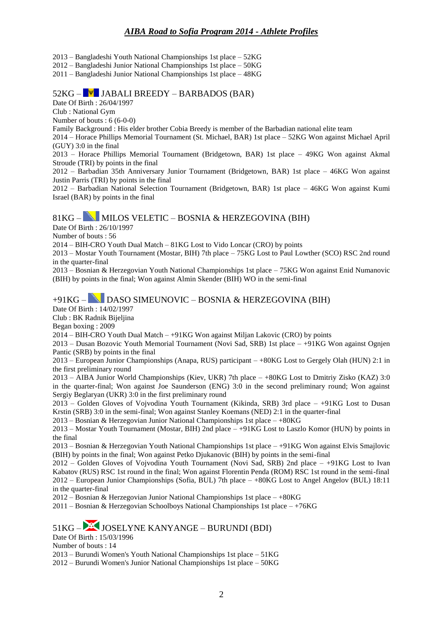2013 – Bangladeshi Youth National Championships 1st place – 52KG

2012 – Bangladeshi Junior National Championships 1st place – 50KG

2011 – Bangladeshi Junior National Championships 1st place – 48KG

#### $52KG -$  $V$  JABALI BREEDY – BARBADOS (BAR)

Date Of Birth : 26/04/1997

Club : National Gym

Number of bouts : 6 (6-0-0)

Family Background : His elder brother Cobia Breedy is member of the Barbadian national elite team

2014 – Horace Phillips Memorial Tournament (St. Michael, BAR) 1st place – 52KG Won against Michael April (GUY) 3:0 in the final

2013 – Horace Phillips Memorial Tournament (Bridgetown, BAR) 1st place – 49KG Won against Akmal Stroude (TRI) by points in the final

2012 – Barbadian 35th Anniversary Junior Tournament (Bridgetown, BAR) 1st place – 46KG Won against Justin Parris (TRI) by points in the final

2012 – Barbadian National Selection Tournament (Bridgetown, BAR) 1st place – 46KG Won against Kumi Israel (BAR) by points in the final

### $81KG -$  MILOS VELETIC – BOSNIA & HERZEGOVINA (BIH)

Date Of Birth : 26/10/1997

Number of bouts : 56

2014 – BIH-CRO Youth Dual Match – 81KG Lost to Vido Loncar (CRO) by points

2013 – Mostar Youth Tournament (Mostar, BIH) 7th place – 75KG Lost to Paul Lowther (SCO) RSC 2nd round in the quarter-final

2013 – Bosnian & Herzegovian Youth National Championships 1st place – 75KG Won against Enid Numanovic (BIH) by points in the final; Won against Almin Skender (BIH) WO in the semi-final

### +91KG – DASO SIMEUNOVIC – BOSNIA & HERZEGOVINA (BIH)

Date Of Birth : 14/02/1997

Club : BK Radnik Bijeljina

Began boxing : 2009

2014 – BIH-CRO Youth Dual Match – +91KG Won against Miljan Lakovic (CRO) by points

2013 – Dusan Bozovic Youth Memorial Tournament (Novi Sad, SRB) 1st place – +91KG Won against Ognjen Pantic (SRB) by points in the final

2013 – European Junior Championships (Anapa, RUS) participant – +80KG Lost to Gergely Olah (HUN) 2:1 in the first preliminary round

2013 – AIBA Junior World Championships (Kiev, UKR) 7th place – +80KG Lost to Dmitriy Zisko (KAZ) 3:0 in the quarter-final; Won against Joe Saunderson (ENG) 3:0 in the second preliminary round; Won against Sergiy Beglaryan (UKR) 3:0 in the first preliminary round

2013 – Golden Gloves of Vojvodina Youth Tournament (Kikinda, SRB) 3rd place – +91KG Lost to Dusan Krstin (SRB) 3:0 in the semi-final; Won against Stanley Koemans (NED) 2:1 in the quarter-final

2013 – Bosnian & Herzegovian Junior National Championships 1st place – +80KG

2013 – Mostar Youth Tournament (Mostar, BIH) 2nd place – +91KG Lost to Laszlo Komor (HUN) by points in the final

2013 – Bosnian & Herzegovian Youth National Championships 1st place – +91KG Won against Elvis Smajlovic (BIH) by points in the final; Won against Petko Djukanovic (BIH) by points in the semi-final

2012 – Golden Gloves of Vojvodina Youth Tournament (Novi Sad, SRB) 2nd place – +91KG Lost to Ivan Kabatov (RUS) RSC 1st round in the final; Won against Florentin Penda (ROM) RSC 1st round in the semi-final 2012 – European Junior Championships (Sofia, BUL) 7th place – +80KG Lost to Angel Angelov (BUL) 18:11 in the quarter-final

2012 – Bosnian & Herzegovian Junior National Championships 1st place – +80KG

2011 – Bosnian & Herzegovian Schoolboys National Championships 1st place – +76KG

# 51KG – JOSELYNE KANYANGE – BURUNDI (BDI)

Date Of Birth : 15/03/1996

Number of bouts : 14

2013 – Burundi Women's Youth National Championships 1st place – 51KG

2012 – Burundi Women's Junior National Championships 1st place – 50KG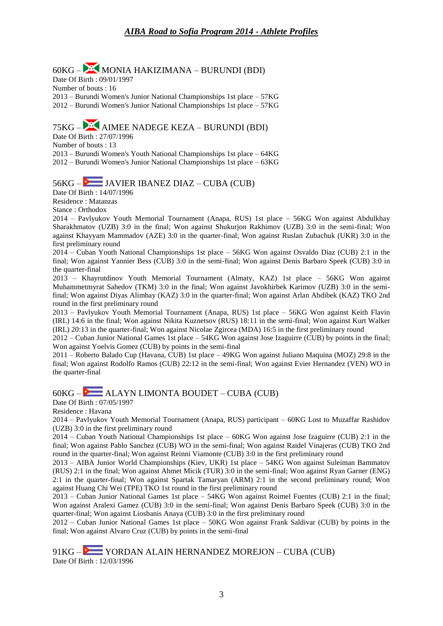$60KG -$  MONIA HAKIZIMANA – BURUNDI (BDI) Date Of Birth : 09/01/1997 Number of bouts : 16 2013 – Burundi Women's Junior National Championships 1st place – 57KG 2012 – Burundi Women's Junior National Championships 1st place – 57KG

# 75KG – AIMEE NADEGE KEZA – BURUNDI (BDI)

Date Of Birth : 27/07/1996 Number of bouts : 13 2013 – Burundi Women's Youth National Championships 1st place – 64KG 2012 – Burundi Women's Junior National Championships 1st place – 63KG

### 56KG – JAVIER IBANEZ DIAZ – CUBA (CUB)

Date Of Birth : 14/07/1996

Residence : Matanzas

Stance : Orthodox

2014 – Pavlyukov Youth Memorial Tournament (Anapa, RUS) 1st place – 56KG Won against Abdulkhay Sharakhmatov (UZB) 3:0 in the final; Won against Shukurjon Rakhimov (UZB) 3:0 in the semi-final; Won against Khayyam Mammadov (AZE) 3:0 in the quarter-final; Won against Ruslan Zubachuk (UKR) 3:0 in the first preliminary round

2014 – Cuban Youth National Championships 1st place – 56KG Won against Osvaldo Diaz (CUB) 2:1 in the final; Won against Yannier Bess (CUB) 3:0 in the semi-final; Won against Denis Barbaro Speek (CUB) 3:0 in the quarter-final

2013 – Khayrutdinov Youth Memorial Tournament (Almaty, KAZ) 1st place – 56KG Won against Muhammetmyrat Sahedov (TKM) 3:0 in the final; Won against Javokhirbek Karimov (UZB) 3:0 in the semifinal; Won against Diyas Alimbay (KAZ) 3:0 in the quarter-final; Won against Arlan Abdibek (KAZ) TKO 2nd round in the first preliminary round

2013 – Pavlyukov Youth Memorial Tournament (Anapa, RUS) 1st place – 56KG Won against Keith Flavin (IRL) 14:6 in the final; Won against Nikita Kuznetsov (RUS) 18:11 in the semi-final; Won against Kurt Walker (IRL) 20:13 in the quarter-final; Won against Nicolae Zgircea (MDA) 16:5 in the first preliminary round

2012 – Cuban Junior National Games 1st place – 54KG Won against Jose Izaguirre (CUB) by points in the final; Won against Yoelvis Gomez (CUB) by points in the semi-final

2011 – Roberto Balado Cup (Havana, CUB) 1st place – 49KG Won against Juliano Maquina (MOZ) 29:8 in the final; Won against Rodolfo Ramos (CUB) 22:12 in the semi-final; Won against Evier Hernandez (VEN) WO in the quarter-final

60KG – ALAYN LIMONTA BOUDET – CUBA (CUB)

Date Of Birth : 07/05/1997

Residence : Havana

2014 – Pavlyukov Youth Memorial Tournament (Anapa, RUS) participant – 60KG Lost to Muzaffar Rashidov (UZB) 3:0 in the first preliminary round

2014 – Cuban Youth National Championships 1st place – 60KG Won against Jose Izaguirre (CUB) 2:1 in the final; Won against Pablo Sanchez (CUB) WO in the semi-final; Won against Raidel Vinajeras (CUB) TKO 2nd round in the quarter-final; Won against Reinni Viamonte (CUB) 3:0 in the first preliminary round

2013 – AIBA Junior World Championships (Kiev, UKR) 1st place – 54KG Won against Suleiman Bammatov (RUS) 2:1 in the final; Won against Ahmet Micik (TUR) 3:0 in the semi-final; Won against Ryan Garner (ENG) 2:1 in the quarter-final; Won against Spartak Tamaryan (ARM) 2:1 in the second preliminary round; Won against Huang Chi Wei (TPE) TKO 1st round in the first preliminary round

2013 – Cuban Junior National Games 1st place – 54KG Won against Roimel Fuentes (CUB) 2:1 in the final; Won against Aralexi Gamez (CUB) 3:0 in the semi-final; Won against Denis Barbaro Speek (CUB) 3:0 in the quarter-final; Won against Liosbanis Anaya (CUB) 3:0 in the first preliminary round

2012 – Cuban Junior National Games 1st place – 50KG Won against Frank Saldivar (CUB) by points in the final; Won against Alvaro Cruz (CUB) by points in the semi-final

91KG – YORDAN ALAIN HERNANDEZ MOREJON – CUBA (CUB) Date Of Birth : 12/03/1996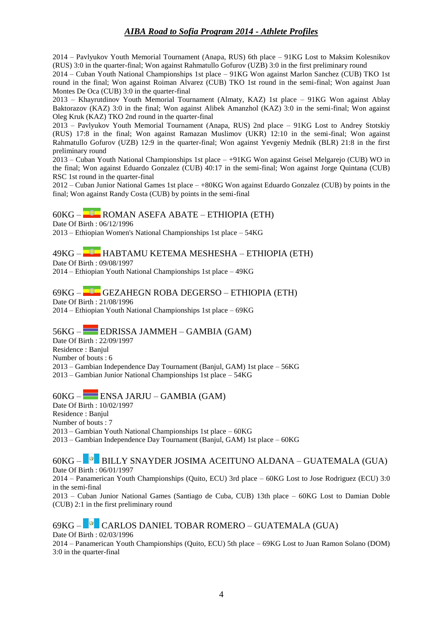2014 – Pavlyukov Youth Memorial Tournament (Anapa, RUS) 6th place – 91KG Lost to Maksim Kolesnikov (RUS) 3:0 in the quarter-final; Won against Rahmatullo Gofurov (UZB) 3:0 in the first preliminary round

2014 – Cuban Youth National Championships 1st place – 91KG Won against Marlon Sanchez (CUB) TKO 1st round in the final; Won against Roiman Alvarez (CUB) TKO 1st round in the semi-final; Won against Juan Montes De Oca (CUB) 3:0 in the quarter-final

2013 – Khayrutdinov Youth Memorial Tournament (Almaty, KAZ) 1st place – 91KG Won against Ablay Baktorazov (KAZ) 3:0 in the final; Won against Alibek Amanzhol (KAZ) 3:0 in the semi-final; Won against Oleg Kruk (KAZ) TKO 2nd round in the quarter-final

2013 – Pavlyukov Youth Memorial Tournament (Anapa, RUS) 2nd place – 91KG Lost to Andrey Stotskiy (RUS) 17:8 in the final; Won against Ramazan Muslimov (UKR) 12:10 in the semi-final; Won against Rahmatullo Gofurov (UZB) 12:9 in the quarter-final; Won against Yevgeniy Mednik (BLR) 21:8 in the first preliminary round

2013 – Cuban Youth National Championships 1st place – +91KG Won against Geisel Melgarejo (CUB) WO in the final; Won against Eduardo Gonzalez (CUB) 40:17 in the semi-final; Won against Jorge Quintana (CUB) RSC 1st round in the quarter-final

2012 – Cuban Junior National Games 1st place – +80KG Won against Eduardo Gonzalez (CUB) by points in the final; Won against Randy Costa (CUB) by points in the semi-final

### 60KG – ROMAN ASEFA ABATE – ETHIOPIA (ETH)

Date Of Birth : 06/12/1996

2013 – Ethiopian Women's National Championships 1st place – 54KG

#### 49KG – HABTAMU KETEMA MESHESHA – ETHIOPIA (ETH)

Date Of Birth : 09/08/1997

2014 – Ethiopian Youth National Championships 1st place – 49KG

69KG – GEZAHEGN ROBA DEGERSO – ETHIOPIA (ETH) Date Of Birth : 21/08/1996

2014 – Ethiopian Youth National Championships 1st place – 69KG

### 56KG – EDRISSA JAMMEH – GAMBIA (GAM)

Date Of Birth : 22/09/1997 Residence : Banjul Number of bouts : 6 2013 – Gambian Independence Day Tournament (Banjul, GAM) 1st place – 56KG 2013 – Gambian Junior National Championships 1st place – 54KG

### $60KG -$  ENSA JARJU – GAMBIA (GAM)

Date Of Birth : 10/02/1997 Residence : Banjul Number of bouts : 7 2013 – Gambian Youth National Championships 1st place – 60KG 2013 – Gambian Independence Day Tournament (Banjul, GAM) 1st place – 60KG

#### 60KG – BILLY SNAYDER JOSIMA ACEITUNO ALDANA – GUATEMALA (GUA) Date Of Birth : 06/01/1997

2014 – Panamerican Youth Championships (Quito, ECU) 3rd place – 60KG Lost to Jose Rodriguez (ECU) 3:0 in the semi-final

2013 – Cuban Junior National Games (Santiago de Cuba, CUB) 13th place – 60KG Lost to Damian Doble (CUB) 2:1 in the first preliminary round

# $69KG -$ <sup>9</sup> CARLOS DANIEL TOBAR ROMERO – GUATEMALA (GUA) Date Of Birth : 02/03/1996

2014 – Panamerican Youth Championships (Quito, ECU) 5th place – 69KG Lost to Juan Ramon Solano (DOM) 3:0 in the quarter-final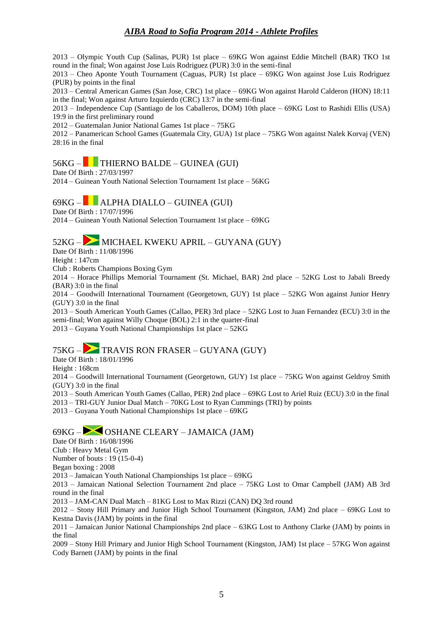2013 – Olympic Youth Cup (Salinas, PUR) 1st place – 69KG Won against Eddie Mitchell (BAR) TKO 1st round in the final; Won against Jose Luis Rodriguez (PUR) 3:0 in the semi-final

2013 – Cheo Aponte Youth Tournament (Caguas, PUR) 1st place – 69KG Won against Jose Luis Rodriguez (PUR) by points in the final

2013 – Central American Games (San Jose, CRC) 1st place – 69KG Won against Harold Calderon (HON) 18:11 in the final; Won against Arturo Izquierdo (CRC) 13:7 in the semi-final

2013 – Independence Cup (Santiago de los Caballeros, DOM) 10th place – 69KG Lost to Rashidi Ellis (USA) 19:9 in the first preliminary round

2012 – Guatemalan Junior National Games 1st place – 75KG

2012 – Panamerican School Games (Guatemala City, GUA) 1st place – 75KG Won against Nalek Korvaj (VEN) 28:16 in the final

# 56KG – THIERNO BALDE – GUINEA (GUI)

Date Of Birth : 27/03/1997

2014 – Guinean Youth National Selection Tournament 1st place – 56KG

### $69KG -$  ALPHA DIALLO – GUINEA (GUI)

Date Of Birth : 17/07/1996

2014 – Guinean Youth National Selection Tournament 1st place – 69KG

# $52KG -$  MICHAEL KWEKU APRIL – GUYANA (GUY)

Date Of Birth : 11/08/1996

Height : 147cm

Club : Roberts Champions Boxing Gym

2014 – Horace Phillips Memorial Tournament (St. Michael, BAR) 2nd place – 52KG Lost to Jabali Breedy (BAR) 3:0 in the final

2014 – Goodwill International Tournament (Georgetown, GUY) 1st place – 52KG Won against Junior Henry (GUY) 3:0 in the final

2013 – South American Youth Games (Callao, PER) 3rd place – 52KG Lost to Juan Fernandez (ECU) 3:0 in the semi-final; Won against Willy Choque (BOL) 2:1 in the quarter-final

2013 – Guyana Youth National Championships 1st place – 52KG

### 75KG – TRAVIS RON FRASER – GUYANA (GUY)

Date Of Birth : 18/01/1996

Height : 168cm

2014 – Goodwill International Tournament (Georgetown, GUY) 1st place – 75KG Won against Geldroy Smith (GUY) 3:0 in the final

2013 – South American Youth Games (Callao, PER) 2nd place – 69KG Lost to Ariel Ruiz (ECU) 3:0 in the final

2013 – TRI-GUY Junior Dual Match – 70KG Lost to Ryan Cummings (TRI) by points

2013 – Guyana Youth National Championships 1st place – 69KG

### 69KG – OSHANE CLEARY – JAMAICA (JAM)

Date Of Birth : 16/08/1996

Club : Heavy Metal Gym

Number of bouts : 19 (15-0-4)

Began boxing : 2008

2013 – Jamaican Youth National Championships 1st place – 69KG

2013 – Jamaican National Selection Tournament 2nd place – 75KG Lost to Omar Campbell (JAM) AB 3rd round in the final

2013 – JAM-CAN Dual Match – 81KG Lost to Max Rizzi (CAN) DQ 3rd round

2012 – Stony Hill Primary and Junior High School Tournament (Kingston, JAM) 2nd place – 69KG Lost to Kestna Davis (JAM) by points in the final

2011 – Jamaican Junior National Championships 2nd place – 63KG Lost to Anthony Clarke (JAM) by points in the final

2009 – Stony Hill Primary and Junior High School Tournament (Kingston, JAM) 1st place – 57KG Won against Cody Barnett (JAM) by points in the final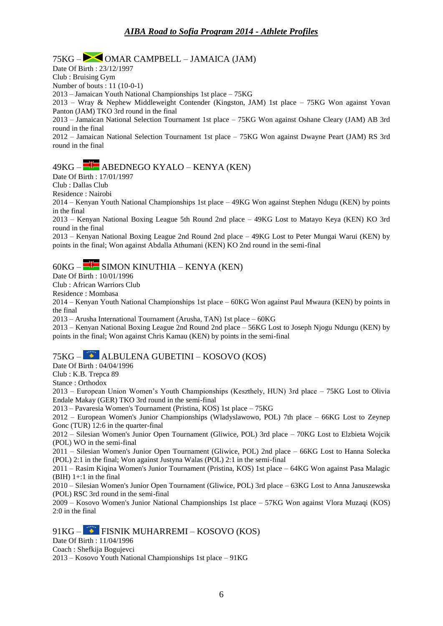# 75KG – OMAR CAMPBELL – JAMAICA (JAM)

Date Of Birth : 23/12/1997 Club : Bruising Gym

Number of bouts : 11 (10-0-1)

2013 – Jamaican Youth National Championships 1st place – 75KG

2013 – Wray & Nephew Middleweight Contender (Kingston, JAM) 1st place – 75KG Won against Yovan Panton (JAM) TKO 3rd round in the final

2013 – Jamaican National Selection Tournament 1st place – 75KG Won against Oshane Cleary (JAM) AB 3rd round in the final

2012 – Jamaican National Selection Tournament 1st place – 75KG Won against Dwayne Peart (JAM) RS 3rd round in the final

# $49KG - H^+$  ABEDNEGO KYALO – KENYA (KEN)

Date Of Birth : 17/01/1997

Club : Dallas Club

Residence : Nairobi

2014 – Kenyan Youth National Championships 1st place – 49KG Won against Stephen Ndugu (KEN) by points in the final

2013 – Kenyan National Boxing League 5th Round 2nd place – 49KG Lost to Matayo Keya (KEN) KO 3rd round in the final

2013 – Kenyan National Boxing League 2nd Round 2nd place – 49KG Lost to Peter Mungai Warui (KEN) by points in the final; Won against Abdalla Athumani (KEN) KO 2nd round in the semi-final

### $60KG -$  $H$  SIMON KINUTHIA – KENYA (KEN)

Date Of Birth : 10/01/1996

Club : African Warriors Club

Residence : Mombasa

2014 – Kenyan Youth National Championships 1st place – 60KG Won against Paul Mwaura (KEN) by points in the final

2013 – Arusha International Tournament (Arusha, TAN) 1st place – 60KG

2013 – Kenyan National Boxing League 2nd Round 2nd place – 56KG Lost to Joseph Njogu Ndungu (KEN) by points in the final; Won against Chris Kamau (KEN) by points in the semi-final

### 75KG – ALBULENA GUBETINI – KOSOVO (KOS)

Date Of Birth : 04/04/1996

Club : K.B. Trepca 89

Stance : Orthodox

2013 – European Union Women's Youth Championships (Keszthely, HUN) 3rd place – 75KG Lost to Olivia Endale Makay (GER) TKO 3rd round in the semi-final

2013 – Pavaresia Women's Tournament (Pristina, KOS) 1st place – 75KG

2012 – European Women's Junior Championships (Wladyslawowo, POL) 7th place – 66KG Lost to Zeynep Gonc (TUR) 12:6 in the quarter-final

2012 – Silesian Women's Junior Open Tournament (Gliwice, POL) 3rd place – 70KG Lost to Elzbieta Wojcik (POL) WO in the semi-final

2011 – Silesian Women's Junior Open Tournament (Gliwice, POL) 2nd place – 66KG Lost to Hanna Solecka (POL) 2:1 in the final; Won against Justyna Walas (POL) 2:1 in the semi-final

2011 – Rasim Kiqina Women's Junior Tournament (Pristina, KOS) 1st place – 64KG Won against Pasa Malagic  $(BIH)$  1+:1 in the final

2010 – Silesian Women's Junior Open Tournament (Gliwice, POL) 3rd place – 63KG Lost to Anna Januszewska (POL) RSC 3rd round in the semi-final

2009 – Kosovo Women's Junior National Championships 1st place – 57KG Won against Vlora Muzaqi (KOS) 2:0 in the final

### 91KG – FISNIK MUHARREMI – KOSOVO (KOS)

Date Of Birth : 11/04/1996

Coach : Shefkija Bogujevci

2013 – Kosovo Youth National Championships 1st place – 91KG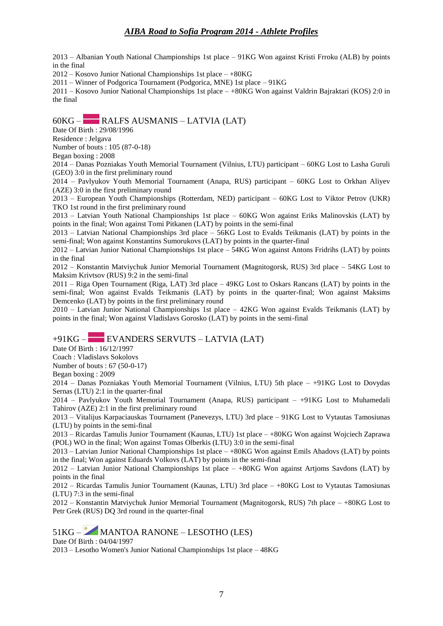2013 – Albanian Youth National Championships 1st place – 91KG Won against Kristi Frroku (ALB) by points in the final

2012 – Kosovo Junior National Championships 1st place – +80KG

2011 – Winner of Podgorica Tournament (Podgorica, MNE) 1st place – 91KG

2011 – Kosovo Junior National Championships 1st place – +80KG Won against Valdrin Bajraktari (KOS) 2:0 in the final

### 60KG – RALFS AUSMANIS – LATVIA (LAT)

Date Of Birth : 29/08/1996

Residence : Jelgava

Number of bouts : 105 (87-0-18)

Began boxing : 2008

2014 – Danas Pozniakas Youth Memorial Tournament (Vilnius, LTU) participant – 60KG Lost to Lasha Guruli (GEO) 3:0 in the first preliminary round

2014 – Pavlyukov Youth Memorial Tournament (Anapa, RUS) participant – 60KG Lost to Orkhan Aliyev (AZE) 3:0 in the first preliminary round

2013 – European Youth Championships (Rotterdam, NED) participant – 60KG Lost to Viktor Petrov (UKR) TKO 1st round in the first preliminary round

2013 – Latvian Youth National Championships 1st place – 60KG Won against Eriks Malinovskis (LAT) by points in the final; Won against Tomi Pitkanen (LAT) by points in the semi-final

2013 – Latvian National Championships 3rd place – 56KG Lost to Evalds Teikmanis (LAT) by points in the semi-final; Won against Konstantins Sumorukovs (LAT) by points in the quarter-final

2012 – Latvian Junior National Championships 1st place – 54KG Won against Antons Fridrihs (LAT) by points in the final

2012 – Konstantin Matviychuk Junior Memorial Tournament (Magnitogorsk, RUS) 3rd place – 54KG Lost to Maksim Krivtsov (RUS) 9:2 in the semi-final

2011 – Riga Open Tournament (Riga, LAT) 3rd place – 49KG Lost to Oskars Rancans (LAT) by points in the semi-final; Won against Evalds Teikmanis (LAT) by points in the quarter-final; Won against Maksims Demcenko (LAT) by points in the first preliminary round

2010 – Latvian Junior National Championships 1st place – 42KG Won against Evalds Teikmanis (LAT) by points in the final; Won against Vladislavs Gorosko (LAT) by points in the semi-final

#### +91KG – EVANDERS SERVUTS – LATVIA (LAT)

Date Of Birth : 16/12/1997

Coach : Vladislavs Sokolovs

Number of bouts : 67 (50-0-17)

Began boxing : 2009

2014 – Danas Pozniakas Youth Memorial Tournament (Vilnius, LTU) 5th place – +91KG Lost to Dovydas Sernas (LTU) 2:1 in the quarter-final

2014 – Pavlyukov Youth Memorial Tournament (Anapa, RUS) participant – +91KG Lost to Muhamedali Tahirov (AZE) 2:1 in the first preliminary round

2013 – Vitalijus Karpaciauskas Tournament (Panevezys, LTU) 3rd place – 91KG Lost to Vytautas Tamosiunas (LTU) by points in the semi-final

2013 – Ricardas Tamulis Junior Tournament (Kaunas, LTU) 1st place – +80KG Won against Wojciech Zaprawa (POL) WO in the final; Won against Tomas Olberkis (LTU) 3:0 in the semi-final

2013 – Latvian Junior National Championships 1st place – +80KG Won against Emils Ahadovs (LAT) by points in the final; Won against Eduards Volkovs (LAT) by points in the semi-final

2012 – Latvian Junior National Championships 1st place – +80KG Won against Artjoms Savdons (LAT) by points in the final

2012 – Ricardas Tamulis Junior Tournament (Kaunas, LTU) 3rd place – +80KG Lost to Vytautas Tamosiunas (LTU) 7:3 in the semi-final

2012 – Konstantin Matviychuk Junior Memorial Tournament (Magnitogorsk, RUS) 7th place – +80KG Lost to Petr Grek (RUS) DQ 3rd round in the quarter-final

### 51KG – MANTOA RANONE – LESOTHO (LES)

Date Of Birth : 04/04/1997

2013 – Lesotho Women's Junior National Championships 1st place – 48KG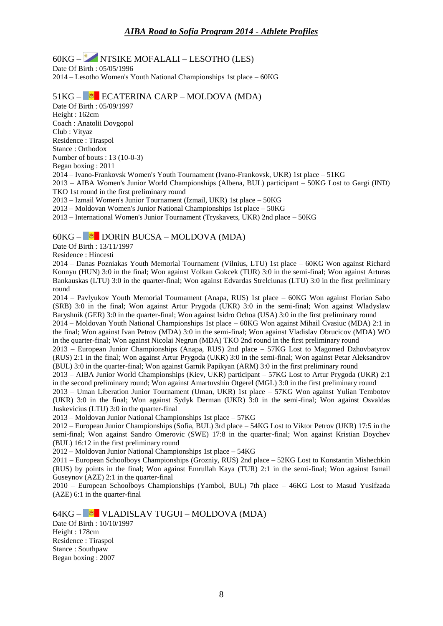## 60KG – NTSIKE MOFALALI – LESOTHO (LES)

Date Of Birth : 05/05/1996 2014 – Lesotho Women's Youth National Championships 1st place – 60KG

#### 51KG – ECATERINA CARP – MOLDOVA (MDA)

Date Of Birth : 05/09/1997 Height : 162cm Coach : Anatolii Dovgopol Club : Vityaz Residence : Tiraspol Stance : Orthodox Number of bouts : 13 (10-0-3) Began boxing : 2011 2014 – Ivano-Frankovsk Women's Youth Tournament (Ivano-Frankovsk, UKR) 1st place – 51KG 2013 – AIBA Women's Junior World Championships (Albena, BUL) participant – 50KG Lost to Gargi (IND) TKO 1st round in the first preliminary round 2013 – Izmail Women's Junior Tournament (Izmail, UKR) 1st place – 50KG 2013 – Moldovan Women's Junior National Championships 1st place – 50KG

2013 – International Women's Junior Tournament (Tryskavets, UKR) 2nd place – 50KG

#### 60KG – DORIN BUCSA – MOLDOVA (MDA)

Date Of Birth : 13/11/1997

Residence : Hincesti

2014 – Danas Pozniakas Youth Memorial Tournament (Vilnius, LTU) 1st place – 60KG Won against Richard Konnyu (HUN) 3:0 in the final; Won against Volkan Gokcek (TUR) 3:0 in the semi-final; Won against Arturas Bankauskas (LTU) 3:0 in the quarter-final; Won against Edvardas Strelciunas (LTU) 3:0 in the first preliminary round

2014 – Pavlyukov Youth Memorial Tournament (Anapa, RUS) 1st place – 60KG Won against Florian Sabo (SRB) 3:0 in the final; Won against Artur Prygoda (UKR) 3:0 in the semi-final; Won against Wladyslaw Baryshnik (GER) 3:0 in the quarter-final; Won against Isidro Ochoa (USA) 3:0 in the first preliminary round

2014 – Moldovan Youth National Championships 1st place – 60KG Won against Mihail Cvasiuc (MDA) 2:1 in the final; Won against Ivan Petrov (MDA) 3:0 in the semi-final; Won against Vladislav Obrucicov (MDA) WO in the quarter-final; Won against Nicolai Negrun (MDA) TKO 2nd round in the first preliminary round

2013 – European Junior Championships (Anapa, RUS) 2nd place – 57KG Lost to Magomed Dzhovbatyrov (RUS) 2:1 in the final; Won against Artur Prygoda (UKR) 3:0 in the semi-final; Won against Petar Aleksandrov (BUL) 3:0 in the quarter-final; Won against Garnik Papikyan (ARM) 3:0 in the first preliminary round

2013 – AIBA Junior World Championships (Kiev, UKR) participant – 57KG Lost to Artur Prygoda (UKR) 2:1 in the second preliminary round; Won against Amartuvshin Otgerel (MGL) 3:0 in the first preliminary round

2013 – Uman Liberation Junior Tournament (Uman, UKR) 1st place – 57KG Won against Yulian Tembotov (UKR) 3:0 in the final; Won against Sydyk Derman (UKR) 3:0 in the semi-final; Won against Osvaldas Juskevicius (LTU) 3:0 in the quarter-final

2013 – Moldovan Junior National Championships 1st place – 57KG

2012 – European Junior Championships (Sofia, BUL) 3rd place – 54KG Lost to Viktor Petrov (UKR) 17:5 in the semi-final; Won against Sandro Omerovic (SWE) 17:8 in the quarter-final; Won against Kristian Doychev (BUL) 16:12 in the first preliminary round

2012 – Moldovan Junior National Championships 1st place – 54KG

2011 – European Schoolboys Championships (Grozniy, RUS) 2nd place – 52KG Lost to Konstantin Mishechkin (RUS) by points in the final; Won against Emrullah Kaya (TUR) 2:1 in the semi-final; Won against Ismail Guseynov (AZE) 2:1 in the quarter-final

2010 – European Schoolboys Championships (Yambol, BUL) 7th place – 46KG Lost to Masud Yusifzada (AZE) 6:1 in the quarter-final

64KG – VLADISLAV TUGUI – MOLDOVA (MDA) Date Of Birth : 10/10/1997 Height : 178cm Residence : Tiraspol Stance : Southpaw Began boxing : 2007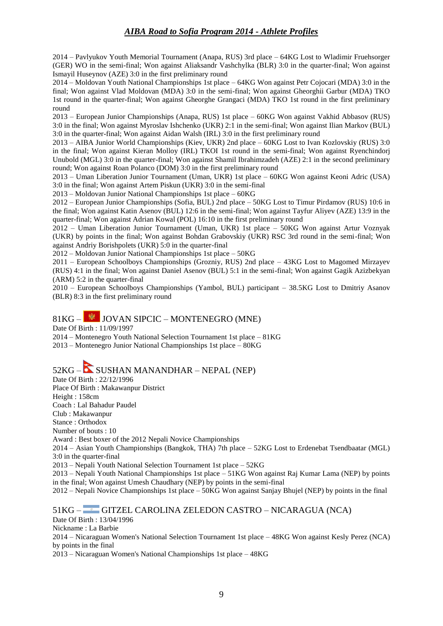2014 – Pavlyukov Youth Memorial Tournament (Anapa, RUS) 3rd place – 64KG Lost to Wladimir Fruehsorger (GER) WO in the semi-final; Won against Aliaksandr Vashchylka (BLR) 3:0 in the quarter-final; Won against Ismayil Huseynov (AZE) 3:0 in the first preliminary round

2014 – Moldovan Youth National Championships 1st place – 64KG Won against Petr Cojocari (MDA) 3:0 in the final; Won against Vlad Moldovan (MDA) 3:0 in the semi-final; Won against Gheorghii Garbur (MDA) TKO 1st round in the quarter-final; Won against Gheorghe Grangaci (MDA) TKO 1st round in the first preliminary round

2013 – European Junior Championships (Anapa, RUS) 1st place – 60KG Won against Vakhid Abbasov (RUS) 3:0 in the final; Won against Myroslav Ishchenko (UKR) 2:1 in the semi-final; Won against Ilian Markov (BUL) 3:0 in the quarter-final; Won against Aidan Walsh (IRL) 3:0 in the first preliminary round

2013 – AIBA Junior World Championships (Kiev, UKR) 2nd place – 60KG Lost to Ivan Kozlovskiy (RUS) 3:0 in the final; Won against Kieran Molloy (IRL) TKOI 1st round in the semi-final; Won against Ryenchindorj Unubold (MGL) 3:0 in the quarter-final; Won against Shamil Ibrahimzadeh (AZE) 2:1 in the second preliminary round; Won against Roan Polanco (DOM) 3:0 in the first preliminary round

2013 – Uman Liberation Junior Tournament (Uman, UKR) 1st place – 60KG Won against Keoni Adric (USA) 3:0 in the final; Won against Artem Piskun (UKR) 3:0 in the semi-final

2013 – Moldovan Junior National Championships 1st place – 60KG

2012 – European Junior Championships (Sofia, BUL) 2nd place – 50KG Lost to Timur Pirdamov (RUS) 10:6 in the final; Won against Katin Asenov (BUL) 12:6 in the semi-final; Won against Tayfur Aliyev (AZE) 13:9 in the quarter-final; Won against Adrian Kowal (POL) 16:10 in the first preliminary round

2012 – Uman Liberation Junior Tournament (Uman, UKR) 1st place – 50KG Won against Artur Voznyak (UKR) by points in the final; Won against Bohdan Grabovskiy (UKR) RSC 3rd round in the semi-final; Won against Andriy Borishpolets (UKR) 5:0 in the quarter-final

2012 – Moldovan Junior National Championships 1st place – 50KG

2011 – European Schoolboys Championships (Grozniy, RUS) 2nd place – 43KG Lost to Magomed Mirzayev (RUS) 4:1 in the final; Won against Daniel Asenov (BUL) 5:1 in the semi-final; Won against Gagik Azizbekyan (ARM) 5:2 in the quarter-final

2010 – European Schoolboys Championships (Yambol, BUL) participant – 38.5KG Lost to Dmitriy Asanov (BLR) 8:3 in the first preliminary round

### 81KG – JOVAN SIPCIC – MONTENEGRO (MNE)

Date Of Birth : 11/09/1997

2014 – Montenegro Youth National Selection Tournament 1st place – 81KG

2013 – Montenegro Junior National Championships 1st place – 80KG

# 52KG – SUSHAN MANANDHAR – NEPAL (NEP)

Date Of Birth : 22/12/1996

Place Of Birth : Makawanpur District

Height : 158cm

Coach : Lal Bahadur Paudel Club : Makawanpur

Stance : Orthodox

Number of bouts : 10

Award : Best boxer of the 2012 Nepali Novice Championships

2014 – Asian Youth Championships (Bangkok, THA) 7th place – 52KG Lost to Erdenebat Tsendbaatar (MGL) 3:0 in the quarter-final

2013 – Nepali Youth National Selection Tournament 1st place – 52KG

2013 – Nepali Youth National Championships 1st place – 51KG Won against Raj Kumar Lama (NEP) by points in the final; Won against Umesh Chaudhary (NEP) by points in the semi-final

2012 – Nepali Novice Championships 1st place – 50KG Won against Sanjay Bhujel (NEP) by points in the final

51KG – GITZEL CAROLINA ZELEDON CASTRO – NICARAGUA (NCA)

Date Of Birth : 13/04/1996

Nickname : La Barbie

2014 – Nicaraguan Women's National Selection Tournament 1st place – 48KG Won against Kesly Perez (NCA) by points in the final

2013 – Nicaraguan Women's National Championships 1st place – 48KG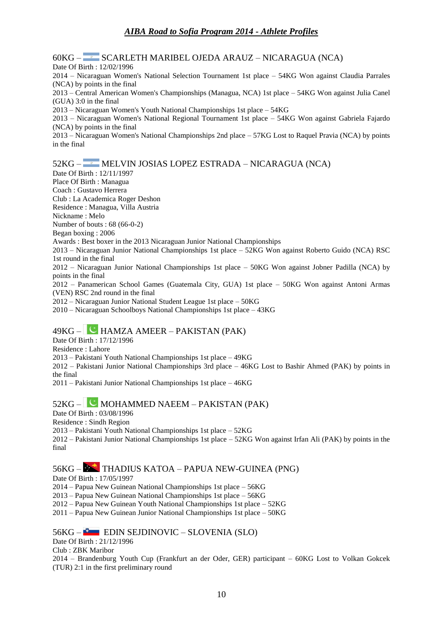60KG – SCARLETH MARIBEL OJEDA ARAUZ – NICARAGUA (NCA)

Date Of Birth : 12/02/1996 2014 – Nicaraguan Women's National Selection Tournament 1st place – 54KG Won against Claudia Parrales (NCA) by points in the final 2013 – Central American Women's Championships (Managua, NCA) 1st place – 54KG Won against Julia Canel (GUA) 3:0 in the final 2013 – Nicaraguan Women's Youth National Championships 1st place – 54KG 2013 – Nicaraguan Women's National Regional Tournament 1st place – 54KG Won against Gabriela Fajardo (NCA) by points in the final 2013 – Nicaraguan Women's National Championships 2nd place – 57KG Lost to Raquel Pravia (NCA) by points in the final 52KG – MELVIN JOSIAS LOPEZ ESTRADA – NICARAGUA (NCA) Date Of Birth : 12/11/1997 Place Of Birth : Managua Coach : Gustavo Herrera Club : La Academica Roger Deshon Residence : Managua, Villa Austria Nickname : Melo Number of bouts : 68 (66-0-2) Began boxing : 2006 Awards : Best boxer in the 2013 Nicaraguan Junior National Championships

2013 – Nicaraguan Junior National Championships 1st place – 52KG Won against Roberto Guido (NCA) RSC 1st round in the final

2012 – Nicaraguan Junior National Championships 1st place – 50KG Won against Jobner Padilla (NCA) by points in the final

2012 – Panamerican School Games (Guatemala City, GUA) 1st place – 50KG Won against Antoni Armas (VEN) RSC 2nd round in the final

2012 – Nicaraguan Junior National Student League 1st place – 50KG

2010 – Nicaraguan Schoolboys National Championships 1st place – 43KG

### $49KG -$  HAMZA AMEER – PAKISTAN (PAK)

Date Of Birth : 17/12/1996

Residence : Lahore

2013 – Pakistani Youth National Championships 1st place – 49KG

2012 – Pakistani Junior National Championships 3rd place – 46KG Lost to Bashir Ahmed (PAK) by points in the final

2011 – Pakistani Junior National Championships 1st place – 46KG

### 52KG – MOHAMMED NAEEM – PAKISTAN (PAK)

Date Of Birth : 03/08/1996

Residence : Sindh Region

2013 – Pakistani Youth National Championships 1st place – 52KG

2012 – Pakistani Junior National Championships 1st place – 52KG Won against Irfan Ali (PAK) by points in the final

### 56KG – THADIUS KATOA – PAPUA NEW-GUINEA (PNG)

Date Of Birth : 17/05/1997

2014 – Papua New Guinean National Championships 1st place – 56KG

2013 – Papua New Guinean National Championships 1st place – 56KG

2012 – Papua New Guinean Youth National Championships 1st place – 52KG

2011 – Papua New Guinean Junior National Championships 1st place – 50KG

#### 56KG – EDIN SEJDINOVIC – SLOVENIA (SLO)

Date Of Birth : 21/12/1996

Club : ZBK Maribor

2014 – Brandenburg Youth Cup (Frankfurt an der Oder, GER) participant – 60KG Lost to Volkan Gokcek (TUR) 2:1 in the first preliminary round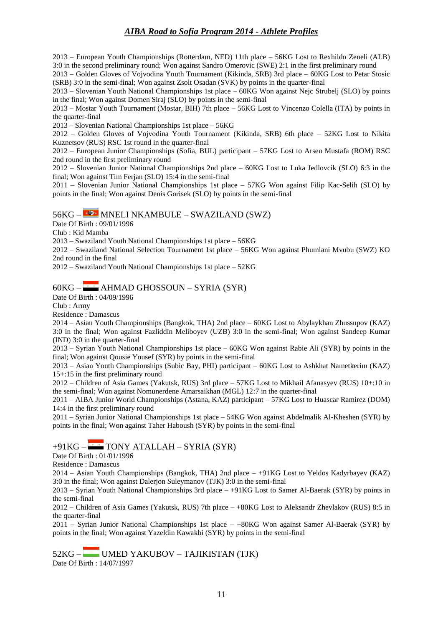2013 – European Youth Championships (Rotterdam, NED) 11th place – 56KG Lost to Rexhildo Zeneli (ALB) 3:0 in the second preliminary round; Won against Sandro Omerovic (SWE) 2:1 in the first preliminary round

2013 – Golden Gloves of Vojvodina Youth Tournament (Kikinda, SRB) 3rd place – 60KG Lost to Petar Stosic (SRB) 3:0 in the semi-final; Won against Zsolt Osadan (SVK) by points in the quarter-final

2013 – Slovenian Youth National Championships 1st place – 60KG Won against Nejc Strubelj (SLO) by points in the final; Won against Domen Siraj (SLO) by points in the semi-final

2013 – Mostar Youth Tournament (Mostar, BIH) 7th place – 56KG Lost to Vincenzo Colella (ITA) by points in the quarter-final

2013 – Slovenian National Championships 1st place – 56KG

2012 – Golden Gloves of Vojvodina Youth Tournament (Kikinda, SRB) 6th place – 52KG Lost to Nikita Kuznetsov (RUS) RSC 1st round in the quarter-final

2012 – European Junior Championships (Sofia, BUL) participant – 57KG Lost to Arsen Mustafa (ROM) RSC 2nd round in the first preliminary round

2012 – Slovenian Junior National Championships 2nd place – 60KG Lost to Luka Jedlovcik (SLO) 6:3 in the final; Won against Tim Ferjan (SLO) 15:4 in the semi-final

2011 – Slovenian Junior National Championships 1st place – 57KG Won against Filip Kac-Selih (SLO) by points in the final; Won against Denis Gorisek (SLO) by points in the semi-final

#### 56KG – MNELI NKAMBULE – SWAZILAND (SWZ)

Date Of Birth : 09/01/1996

Club : Kid Mamba

2013 – Swaziland Youth National Championships 1st place – 56KG

2012 – Swaziland National Selection Tournament 1st place – 56KG Won against Phumlani Mvubu (SWZ) KO 2nd round in the final

2012 – Swaziland Youth National Championships 1st place – 52KG

#### $60KG -$  AHMAD GHOSSOUN – SYRIA (SYR)

Date Of Birth : 04/09/1996

Club : Army

Residence : Damascus

2014 – Asian Youth Championships (Bangkok, THA) 2nd place – 60KG Lost to Abylaykhan Zhussupov (KAZ) 3:0 in the final; Won against Fazliddin Meliboyev (UZB) 3:0 in the semi-final; Won against Sandeep Kumar (IND) 3:0 in the quarter-final

2013 – Syrian Youth National Championships 1st place – 60KG Won against Rabie Ali (SYR) by points in the final; Won against Qousie Yousef (SYR) by points in the semi-final

2013 – Asian Youth Championships (Subic Bay, PHI) participant – 60KG Lost to Ashkhat Nametkerim (KAZ) 15+:15 in the first preliminary round

2012 – Children of Asia Games (Yakutsk, RUS) 3rd place – 57KG Lost to Mikhail Afanasyev (RUS) 10+:10 in the semi-final; Won against Nomunerdene Amarsaikhan (MGL) 12:7 in the quarter-final

2011 – AIBA Junior World Championships (Astana, KAZ) participant – 57KG Lost to Huascar Ramirez (DOM) 14:4 in the first preliminary round

2011 – Syrian Junior National Championships 1st place – 54KG Won against Abdelmalik Al-Kheshen (SYR) by points in the final; Won against Taher Haboush (SYR) by points in the semi-final

### $+91KG -$  TONY ATALLAH – SYRIA (SYR)

Date Of Birth : 01/01/1996

Residence : Damascus

2014 – Asian Youth Championships (Bangkok, THA) 2nd place – +91KG Lost to Yeldos Kadyrbayev (KAZ) 3:0 in the final; Won against Dalerjon Suleymanov (TJK) 3:0 in the semi-final

2013 – Syrian Youth National Championships 3rd place – +91KG Lost to Samer Al-Baerak (SYR) by points in the semi-final

2012 – Children of Asia Games (Yakutsk, RUS) 7th place – +80KG Lost to Aleksandr Zhevlakov (RUS) 8:5 in the quarter-final

2011 – Syrian Junior National Championships 1st place – +80KG Won against Samer Al-Baerak (SYR) by points in the final; Won against Yazeldin Kawakbi (SYR) by points in the semi-final

52KG – UMED YAKUBOV – TAJIKISTAN (TJK) Date Of Birth : 14/07/1997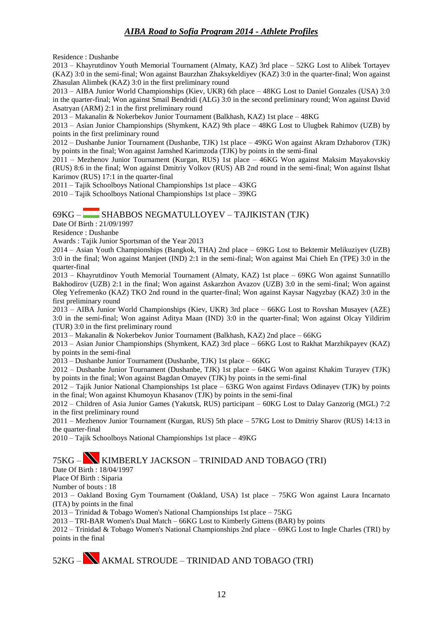Residence : Dushanbe

2013 – Khayrutdinov Youth Memorial Tournament (Almaty, KAZ) 3rd place – 52KG Lost to Alibek Tortayev (KAZ) 3:0 in the semi-final; Won against Baurzhan Zhaksykeldiyev (KAZ) 3:0 in the quarter-final; Won against Zhasulan Alimbek (KAZ) 3:0 in the first preliminary round

2013 – AIBA Junior World Championships (Kiev, UKR) 6th place – 48KG Lost to Daniel Gonzales (USA) 3:0 in the quarter-final; Won against Smail Bendridi (ALG) 3:0 in the second preliminary round; Won against David Asatryan (ARM) 2:1 in the first preliminary round

2013 – Makanalin & Nokerbekov Junior Tournament (Balkhash, KAZ) 1st place – 48KG

2013 – Asian Junior Championships (Shymkent, KAZ) 9th place – 48KG Lost to Ulugbek Rahimov (UZB) by points in the first preliminary round

2012 – Dushanbe Junior Tournament (Dushanbe, TJK) 1st place – 49KG Won against Akram Dzhaborov (TJK) by points in the final; Won against Jamshed Karimzoda (TJK) by points in the semi-final

2011 – Mezhenov Junior Tournament (Kurgan, RUS) 1st place – 46KG Won against Maksim Mayakovskiy (RUS) 8:6 in the final; Won against Dmitriy Volkov (RUS) AB 2nd round in the semi-final; Won against Ilshat Karimov (RUS) 17:1 in the quarter-final

2011 – Tajik Schoolboys National Championships 1st place – 43KG

2010 – Tajik Schoolboys National Championships 1st place – 39KG

#### 69KG – SHABBOS NEGMATULLOYEV – TAJIKISTAN (TJK)

Date Of Birth : 21/09/1997

Residence : Dushanbe

Awards : Tajik Junior Sportsman of the Year 2013

2014 – Asian Youth Championships (Bangkok, THA) 2nd place – 69KG Lost to Bektemir Melikuziyev (UZB) 3:0 in the final; Won against Manjeet (IND) 2:1 in the semi-final; Won against Mai Chieh En (TPE) 3:0 in the quarter-final

2013 – Khayrutdinov Youth Memorial Tournament (Almaty, KAZ) 1st place – 69KG Won against Sunnatillo Bakhodirov (UZB) 2:1 in the final; Won against Askarzhon Avazov (UZB) 3:0 in the semi-final; Won against Oleg Yefremenko (KAZ) TKO 2nd round in the quarter-final; Won against Kaysar Nagyzbay (KAZ) 3:0 in the first preliminary round

2013 – AIBA Junior World Championships (Kiev, UKR) 3rd place – 66KG Lost to Rovshan Musayev (AZE) 3:0 in the semi-final; Won against Aditya Maan (IND) 3:0 in the quarter-final; Won against Olcay Yildirim (TUR) 3:0 in the first preliminary round

2013 – Makanalin & Nokerbekov Junior Tournament (Balkhash, KAZ) 2nd place – 66KG

2013 – Asian Junior Championships (Shymkent, KAZ) 3rd place – 66KG Lost to Rakhat Marzhikpayev (KAZ) by points in the semi-final

2013 – Dushanbe Junior Tournament (Dushanbe, TJK) 1st place – 66KG

2012 – Dushanbe Junior Tournament (Dushanbe, TJK) 1st place – 64KG Won against Khakim Turayev (TJK) by points in the final; Won against Bagdan Omayev (TJK) by points in the semi-final

2012 – Tajik Junior National Championships 1st place – 63KG Won against Firdavs Odinayev (TJK) by points in the final; Won against Khumoyun Khasanov (TJK) by points in the semi-final

2012 – Children of Asia Junior Games (Yakutsk, RUS) participant – 60KG Lost to Dalay Ganzorig (MGL) 7:2 in the first preliminary round

2011 – Mezhenov Junior Tournament (Kurgan, RUS) 5th place – 57KG Lost to Dmitriy Sharov (RUS) 14:13 in the quarter-final

2010 – Tajik Schoolboys National Championships 1st place – 49KG

75KG – KIMBERLY JACKSON – TRINIDAD AND TOBAGO (TRI)

Date Of Birth : 18/04/1997

Place Of Birth : Siparia

Number of bouts : 18

2013 – Oakland Boxing Gym Tournament (Oakland, USA) 1st place – 75KG Won against Laura Incarnato (ITA) by points in the final

2013 – Trinidad & Tobago Women's National Championships 1st place – 75KG

2013 – TRI-BAR Women's Dual Match – 66KG Lost to Kimberly Gittens (BAR) by points

2012 – Trinidad & Tobago Women's National Championships 2nd place – 69KG Lost to Ingle Charles (TRI) by points in the final

# 52KG – AKMAL STROUDE – TRINIDAD AND TOBAGO (TRI)